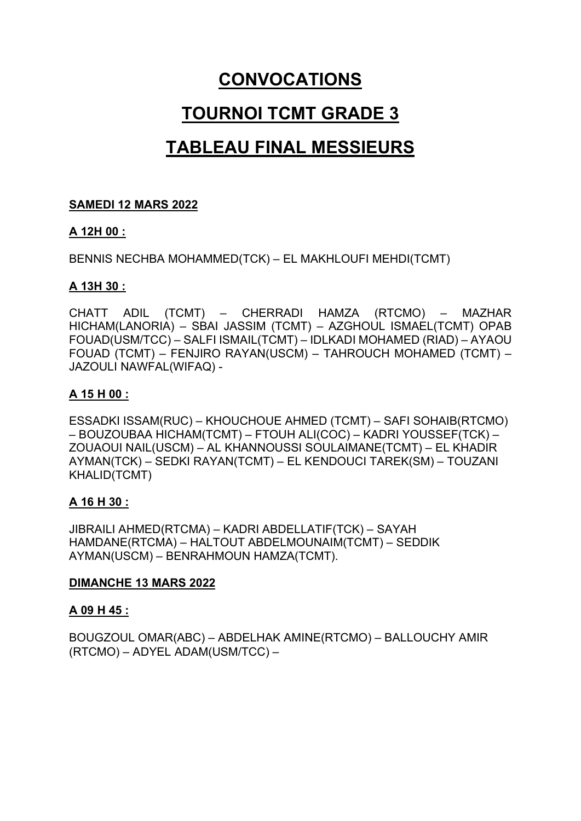## CONVOCATIONS

# TOURNOI TCMT GRADE 3

## TABLEAU FINAL MESSIEURS

### SAMEDI 12 MARS 2022

#### A 12H 00 :

BENNIS NECHBA MOHAMMED(TCK) – EL MAKHLOUFI MEHDI(TCMT)

#### A 13H 30 :

CHATT ADIL (TCMT) – CHERRADI HAMZA (RTCMO) – MAZHAR HICHAM(LANORIA) – SBAI JASSIM (TCMT) – AZGHOUL ISMAEL(TCMT) OPAB FOUAD(USM/TCC) – SALFI ISMAIL(TCMT) – IDLKADI MOHAMED (RIAD) – AYAOU FOUAD (TCMT) – FENJIRO RAYAN(USCM) – TAHROUCH MOHAMED (TCMT) – JAZOULI NAWFAL(WIFAQ) -

## A 15 H 00 :

ESSADKI ISSAM(RUC) – KHOUCHOUE AHMED (TCMT) – SAFI SOHAIB(RTCMO) – BOUZOUBAA HICHAM(TCMT) – FTOUH ALI(COC) – KADRI YOUSSEF(TCK) – ZOUAOUI NAIL(USCM) – AL KHANNOUSSI SOULAIMANE(TCMT) – EL KHADIR AYMAN(TCK) – SEDKI RAYAN(TCMT) – EL KENDOUCI TAREK(SM) – TOUZANI KHALID(TCMT)

## A 16 H 30 :

JIBRAILI AHMED(RTCMA) – KADRI ABDELLATIF(TCK) – SAYAH HAMDANE(RTCMA) – HALTOUT ABDELMOUNAIM(TCMT) – SEDDIK AYMAN(USCM) – BENRAHMOUN HAMZA(TCMT).

#### DIMANCHE 13 MARS 2022

#### A 09 H 45 :

BOUGZOUL OMAR(ABC) – ABDELHAK AMINE(RTCMO) – BALLOUCHY AMIR (RTCMO) – ADYEL ADAM(USM/TCC) –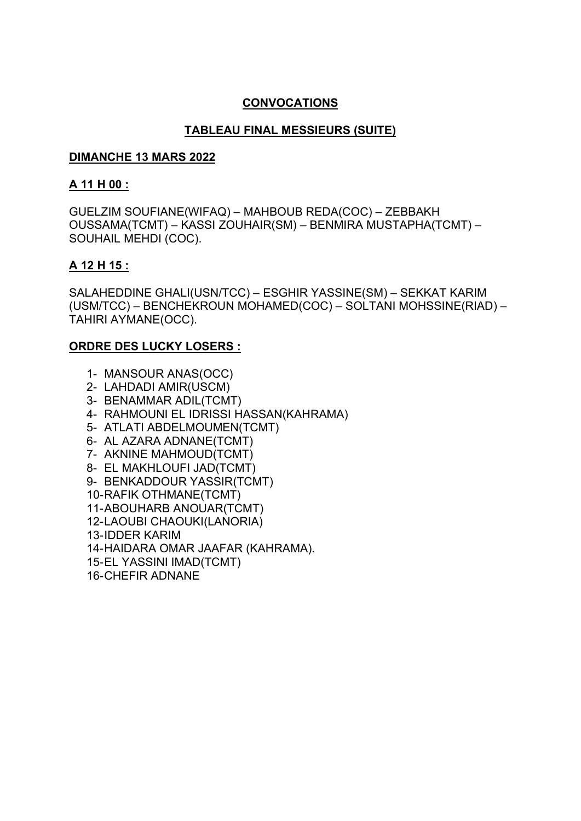#### CONVOCATIONS

## TABLEAU FINAL MESSIEURS (SUITE)

#### DIMANCHE 13 MARS 2022

#### A 11 H 00 :

GUELZIM SOUFIANE(WIFAQ) – MAHBOUB REDA(COC) – ZEBBAKH OUSSAMA(TCMT) – KASSI ZOUHAIR(SM) – BENMIRA MUSTAPHA(TCMT) – SOUHAIL MEHDI (COC).

#### A 12 H 15 :

SALAHEDDINE GHALI(USN/TCC) – ESGHIR YASSINE(SM) – SEKKAT KARIM (USM/TCC) – BENCHEKROUN MOHAMED(COC) – SOLTANI MOHSSINE(RIAD) – TAHIRI AYMANE(OCC).

#### ORDRE DES LUCKY LOSERS :

- 1- MANSOUR ANAS(OCC)
- 2- LAHDADI AMIR(USCM)
- 3- BENAMMAR ADIL(TCMT)
- 4- RAHMOUNI EL IDRISSI HASSAN(KAHRAMA)
- 5- ATLATI ABDELMOUMEN(TCMT)
- 6- AL AZARA ADNANE(TCMT)
- 7- AKNINE MAHMOUD(TCMT)
- 8- EL MAKHLOUFI JAD(TCMT)
- 9- BENKADDOUR YASSIR(TCMT)
- 10- RAFIK OTHMANE(TCMT)
- 11- ABOUHARB ANOUAR(TCMT)
- 12- LAOUBI CHAOUKI(LANORIA)
- 13- IDDER KARIM
- 14- HAIDARA OMAR JAAFAR (KAHRAMA).
- 15- EL YASSINI IMAD (TCMT)
- 16-CHEFIR ADNANE